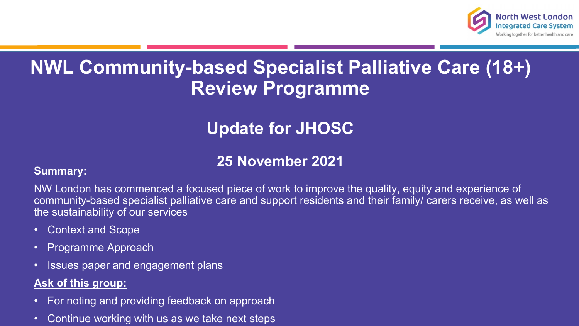

#### **NWL Community-based Specialist Palliative Care (18+) Review Programme**

#### **Update for JHOSC**

#### **25 November 2021**

#### **Summary:**

NW London has commenced a focused piece of work to improve the quality, equity and experience of community-based specialist palliative care and support residents and their family/ carers receive, as well as the sustainability of our services

- Context and Scope
- Programme Approach
- Issues paper and engagement plans

#### **Ask of this group:**

- For noting and providing feedback on approach
- Continue working with us as we take next steps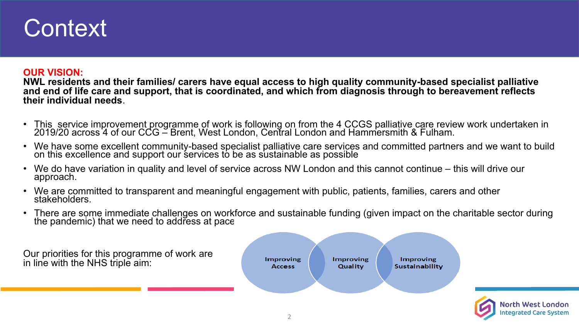#### **Context**

#### **OUR VISION:**

**NWL residents and their families/ carers have equal access to high quality community-based specialist palliative and end of life care and support, that is coordinated, and which from diagnosis through to bereavement reflects their individual needs**.

- This service improvement programme of work is following on from the 4 CCGS palliative care review work undertaken in 2019/20 across<sup>'</sup>4 of our CCG – Brent, West London, Central London and Hammersmith & Fulham.
- We have some excellent community-based specialist palliative care services and committed partners and we want to build on this excellence and support our services to be as sustainable as possible
- We do have variation in quality and level of service across NW London and this cannot continue this will drive our approach.
- We are committed to transparent and meaningful engagement with public, patients, families, carers and other stakeholders.
- There are some immediate challenges on workforce and sustainable funding (given impact on the charitable sector during the pandemic) that we need to address at pace





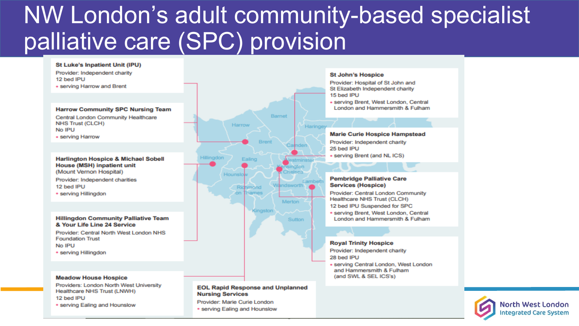### NW London's adult community-based specialist palliative care (SPC) provision



3

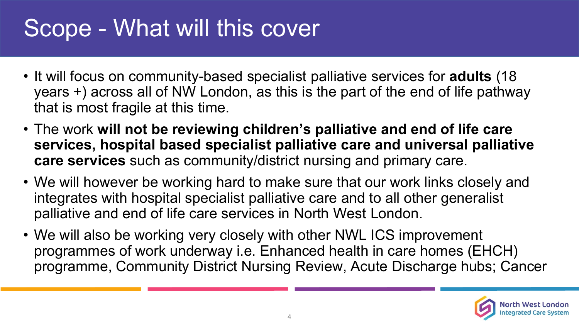## Scope - What will this cover

- It will focus on community-based specialist palliative services for **adults** (18 years +) across all of NW London, as this is the part of the end of life pathway that is most fragile at this time.
- The work **will not be reviewing children's palliative and end of life care services, hospital based specialist palliative care and universal palliative care services** such as community/district nursing and primary care.
- We will however be working hard to make sure that our work links closely and integrates with hospital specialist palliative care and to all other generalist palliative and end of life care services in North West London.
- We will also be working very closely with other NWL ICS improvement programmes of work underway i.e. Enhanced health in care homes (EHCH) programme, Community District Nursing Review, Acute Discharge hubs; Cancer

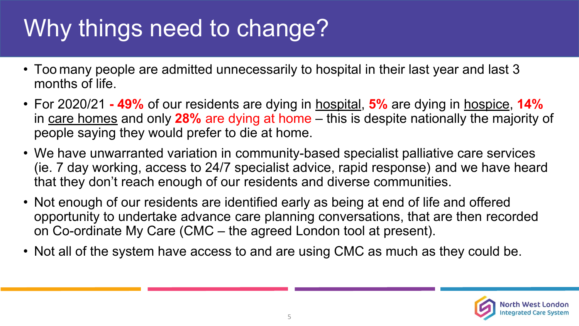# Why things need to change?

- Too many people are admitted unnecessarily to hospital in their last year and last 3 months of life.
- For 2020/21  **49%** of our residents are dying in hospital, **5%** are dying in hospice, **14%** in care homes and only **28%** are dying at home – this is despite nationally the majority of people saying they would prefer to die at home.
- We have unwarranted variation in community-based specialist palliative care services (ie. 7 day working, access to 24/7 specialist advice, rapid response) and we have heard that they don't reach enough of our residents and diverse communities.
- Not enough of our residents are identified early as being at end of life and offered opportunity to undertake advance care planning conversations, that are then recorded on Co-ordinate My Care (CMC – the agreed London tool at present).
- Not all of the system have access to and are using CMC as much as they could be.

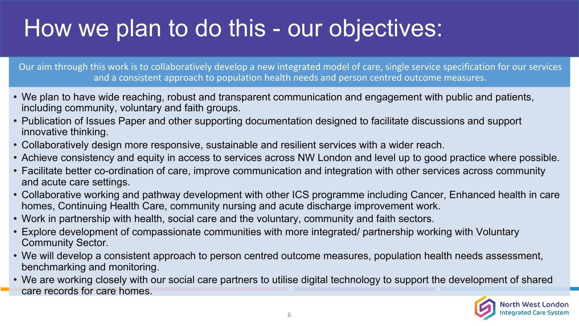## How we plan to do this - our objectives:

Our aim through this work is to collaboratively develop a new integrated model of care, single service specification for our services and a consistent approach to population health needs and person centred outcome measures.

- We plan to have wide reaching, robust and transparent communication and engagement with public and patients, including community, voluntary and faith groups.
- Publication of Issues Paper and other supporting documentation designed to facilitate discussions and support innovative thinking.
- Collaboratively design more responsive, sustainable and resilient services with a wider reach.
- Achieve consistency and equity in access to services across NW London and level up to good practice where possible.
- Facilitate better co-ordination of care, improve communication and integration with other services across community and acute care settings.
- Collaborative working and pathway development with other ICS programme including Cancer, Enhanced health in care homes, Continuing Health Care, community nursing and acute discharge improvement work.
- Work in partnership with health, social care and the voluntary, community and faith sectors.
- Explore development of compassionate communities with more integrated/ partnership working with Voluntary Community Sector.
- We will develop a consistent approach to person centred outcome measures, population health needs assessment, benchmarking and monitoring.
- We are working closely with our social care partners to utilise digital technology to support the development of shared care records for care homes.

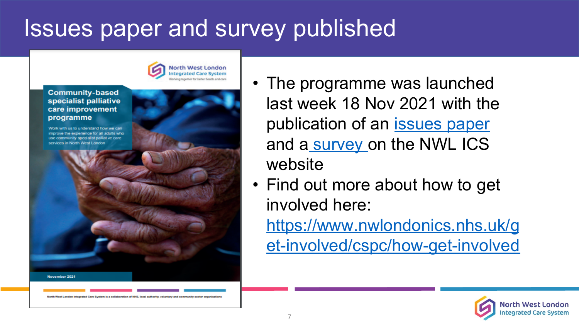$\frac{0}{0}$ 

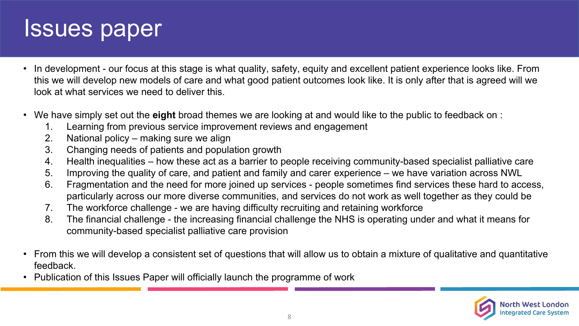### Issues paper

- In development our focus at this stage is what quality, safety, equity and excellent patient experience looks like. From this we will develop new models of care and what good patient outcomes look like. It is only after that is agreed will we look at what services we need to deliver this.
- We have simply set out the **eight** broad themes we are looking at and would like to the public to feedback on :
	- 1. Learning from previous service improvement reviews and engagement
	- 2. National policy making sure we align
	- 3. Changing needs of patients and population growth
	- 4. Health inequalities how these act as a barrier to people receiving community-based specialist palliative care
	- 5. Improving the quality of care, and patient and family and carer experience we have variation across NWL
	- 6. Fragmentation and the need for more joined up services people sometimes find services these hard to access, particularly across our more diverse communities, and services do not work as well together as they could be
	- 7. The workforce challenge we are having difficulty recruiting and retaining workforce
	- 8. The financial challenge the increasing financial challenge the NHS is operating under and what it means for community-based specialist palliative care provision
- From this we will develop a consistent set of questions that will allow us to obtain a mixture of qualitative and quantitative feedback.
- Publication of this Issues Paper will officially launch the programme of work

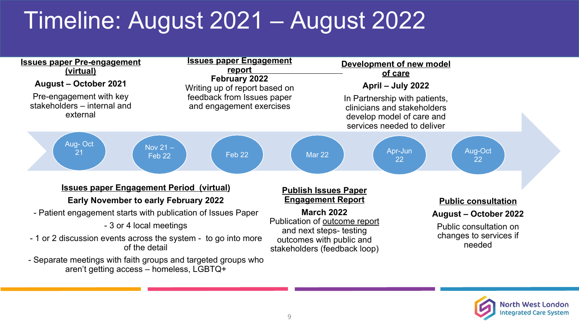## Timeline: August 2021 – August 2022



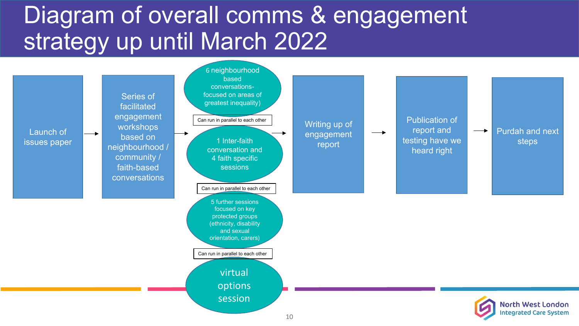### Diagram of overall comms & engagement strategy up until March 2022